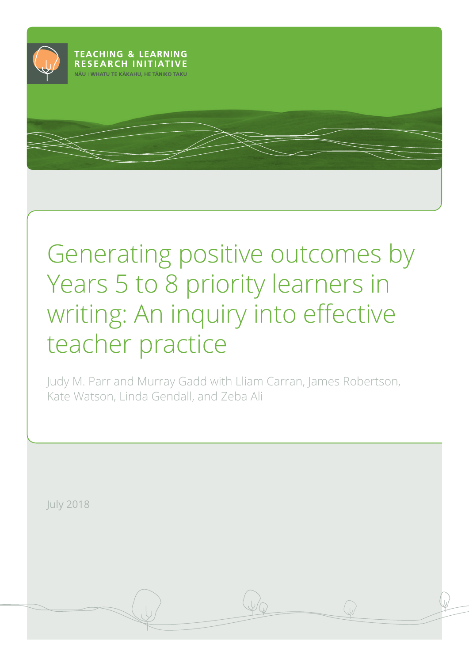

# Generating positive outcomes by Years 5 to 8 priority learners in writing: An inquiry into effective teacher practice

Judy M. Parr and Murray Gadd with Lliam Carran, James Robertson, Kate Watson, Linda Gendall, and Zeba Ali

July 2018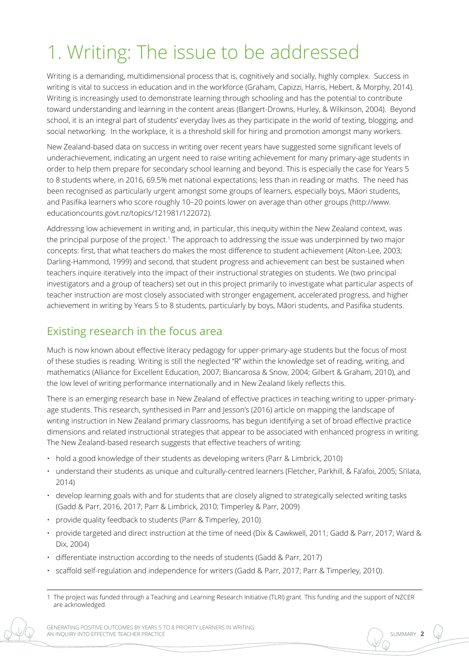## 1. Writing: The issue to be addressed

Writing is a demanding, multidimensional process that is, cognitively and socially, highly complex. Success in writing is vital to success in education and in the workforce (Graham, Capizzi, Harris, Hebert, & Morphy, 2014). Writing is increasingly used to demonstrate learning through schooling and has the potential to contribute toward understanding and learning in the content areas (Bangert-Drowns, Hurley, & Wilkinson, 2004). Beyond school, it is an integral part of students' everyday lives as they participate in the world of texting, blogging, and social networking. In the workplace, it is a threshold skill for hiring and promotion amongst many workers.

New Zealand-based data on success in writing over recent years have suggested some significant levels of underachievement, indicating an urgent need to raise writing achievement for many primary-age students in order to help them prepare for secondary school learning and beyond. This is especially the case for Years 5 to 8 students where, in 2016, 69.5% met national expectations; less than in reading or maths. The need has been recognised as particularly urgent amongst some groups of learners, especially boys, Māori students, and Pasifika learners who score roughly 10–20 points lower on average than other groups [\(http://www.](http://www.educationcounts.govt.nz/topics/121981/122072) [educationcounts.govt.nz/topics/121981/122072\)](http://www.educationcounts.govt.nz/topics/121981/122072).

Addressing low achievement in writing and, in particular, this inequity within the New Zealand context, was the principal purpose of the project.<sup>1</sup> The approach to addressing the issue was underpinned by two major concepts: first, that what teachers do makes the most difference to student achievement (Alton-Lee, 2003; Darling-Hammond, 1999) and second, that student progress and achievement can best be sustained when teachers inquire iteratively into the impact of their instructional strategies on students. We (two principal investigators and a group of teachers) set out in this project primarily to investigate what particular aspects of teacher instruction are most closely associated with stronger engagement, accelerated progress, and higher achievement in writing by Years 5 to 8 students, particularly by boys, Māori students, and Pasifika students.

## Existing research in the focus area

Much is now known about effective literacy pedagogy for upper-primary-age students but the focus of most of these studies is reading. Writing is still the neglected "R" within the knowledge set of reading, writing, and mathematics (Alliance for Excellent Education, 2007; Biancarosa & Snow, 2004; Gilbert & Graham, 2010), and the low level of writing performance internationally and in New Zealand likely reflects this.

There is an emerging research base in New Zealand of effective practices in teaching writing to upper-primaryage students. This research, synthesised in Parr and Jesson's (2016) article on mapping the landscape of writing instruction in New Zealand primary classrooms, has begun identifying a set of broad effective practice dimensions and related instructional strategies that appear to be associated with enhanced progress in writing. The New Zealand-based research suggests that effective teachers of writing:

- hold a good knowledge of their students as developing writers (Parr & Limbrick, 2010)
- understand their students as unique and culturally-centred learners (Fletcher, Parkhill, & Fa'afoi, 2005; Si'ilata, 2014)
- develop learning goals with and for students that are closely aligned to strategically selected writing tasks (Gadd & Parr, 2016, 2017; Parr & Limbrick, 2010; Timperley & Parr, 2009)
- provide quality feedback to students (Parr & Timperley, 2010)
- provide targeted and direct instruction at the time of need (Dix & Cawkwell, 2011; Gadd & Parr, 2017; Ward & Dix, 2004)
- differentiate instruction according to the needs of students (Gadd & Parr, 2017)
- scaffold self-regulation and independence for writers (Gadd & Parr, 2017; Parr & Timperley, 2010).

<sup>1</sup> The project was funded through a Teaching and Learning Research Initiative (TLRI) grant. This funding and the support of NZCER are acknowledged.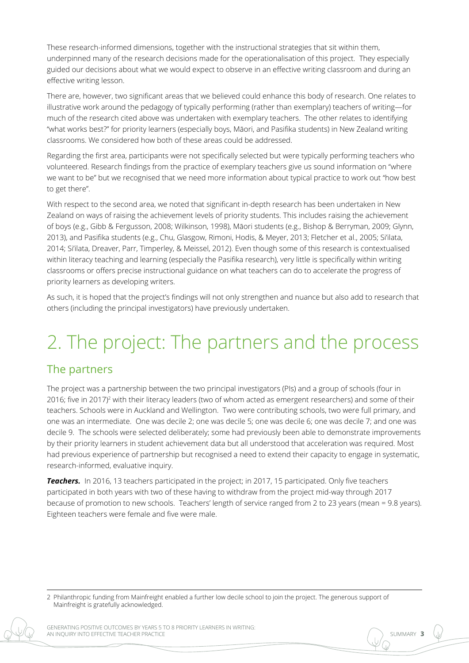These research-informed dimensions, together with the instructional strategies that sit within them, underpinned many of the research decisions made for the operationalisation of this project. They especially guided our decisions about what we would expect to observe in an effective writing classroom and during an effective writing lesson.

There are, however, two significant areas that we believed could enhance this body of research. One relates to illustrative work around the pedagogy of typically performing (rather than exemplary) teachers of writing—for much of the research cited above was undertaken with exemplary teachers. The other relates to identifying "what works best?" for priority learners (especially boys, Māori, and Pasifika students) in New Zealand writing classrooms. We considered how both of these areas could be addressed.

Regarding the first area, participants were not specifically selected but were typically performing teachers who volunteered. Research findings from the practice of exemplary teachers give us sound information on "where we want to be" but we recognised that we need more information about typical practice to work out "how best to get there".

With respect to the second area, we noted that significant in-depth research has been undertaken in New Zealand on ways of raising the achievement levels of priority students. This includes raising the achievement of boys (e.g., Gibb & Fergusson, 2008; Wilkinson, 1998), Māori students (e.g., Bishop & Berryman, 2009; Glynn, 2013), and Pasifika students (e.g., Chu, Glasgow, Rimoni, Hodis, & Meyer, 2013; Fletcher et al., 2005; Si'ilata, 2014; Si'ilata, Dreaver, Parr, Timperley, & Meissel, 2012). Even though some of this research is contextualised within literacy teaching and learning (especially the Pasifika research), very little is specifically within writing classrooms or offers precise instructional guidance on what teachers can do to accelerate the progress of priority learners as developing writers.

As such, it is hoped that the project's findings will not only strengthen and nuance but also add to research that others (including the principal investigators) have previously undertaken.

## 2. The project: The partners and the process

## The partners

The project was a partnership between the two principal investigators (PIs) and a group of schools (four in 2016; five in 2017)<sup>2</sup> with their literacy leaders (two of whom acted as emergent researchers) and some of their teachers. Schools were in Auckland and Wellington. Two were contributing schools, two were full primary, and one was an intermediate. One was decile 2; one was decile 5; one was decile 6; one was decile 7; and one was decile 9. The schools were selected deliberately; some had previously been able to demonstrate improvements by their priority learners in student achievement data but all understood that acceleration was required. Most had previous experience of partnership but recognised a need to extend their capacity to engage in systematic, research-informed, evaluative inquiry.

*Teachers.* In 2016, 13 teachers participated in the project; in 2017, 15 participated. Only five teachers participated in both years with two of these having to withdraw from the project mid-way through 2017 because of promotion to new schools. Teachers' length of service ranged from 2 to 23 years (mean = 9.8 years). Eighteen teachers were female and five were male.

2 Philanthropic funding from Mainfreight enabled a further low decile school to join the project. The generous support of Mainfreight is gratefully acknowledged.

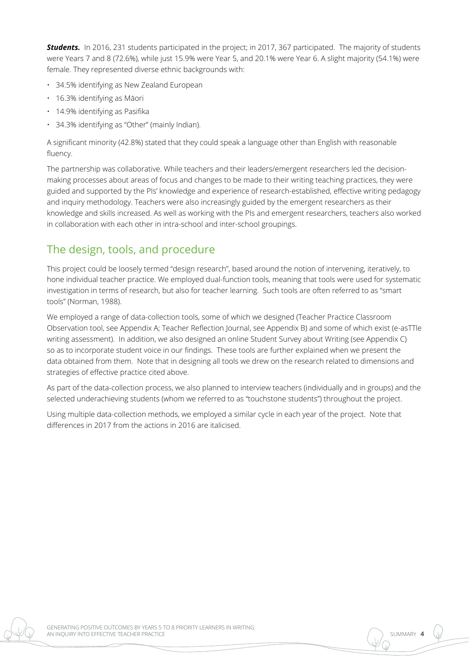*Students.* In 2016, 231 students participated in the project; in 2017, 367 participated. The majority of students were Years 7 and 8 (72.6%), while just 15.9% were Year 5, and 20.1% were Year 6. A slight majority (54.1%) were female. They represented diverse ethnic backgrounds with:

- 34.5% identifying as New Zealand European
- 16.3% identifying as Māori
- 14.9% identifying as Pasifika
- 34.3% identifying as "Other" (mainly Indian).

A significant minority (42.8%) stated that they could speak a language other than English with reasonable fluency.

The partnership was collaborative. While teachers and their leaders/emergent researchers led the decisionmaking processes about areas of focus and changes to be made to their writing teaching practices, they were guided and supported by the PIs' knowledge and experience of research-established, effective writing pedagogy and inquiry methodology. Teachers were also increasingly guided by the emergent researchers as their knowledge and skills increased. As well as working with the PIs and emergent researchers, teachers also worked in collaboration with each other in intra-school and inter-school groupings.

## The design, tools, and procedure

This project could be loosely termed "design research", based around the notion of intervening, iteratively, to hone individual teacher practice. We employed dual-function tools, meaning that tools were used for systematic investigation in terms of research, but also for teacher learning. Such tools are often referred to as "smart tools" (Norman, 1988).

We employed a range of data-collection tools, some of which we designed (Teacher Practice Classroom Observation tool, see Appendix A; Teacher Reflection Journal, see Appendix B) and some of which exist (e-asTTle writing assessment). In addition, we also designed an online Student Survey about Writing (see Appendix C) so as to incorporate student voice in our findings. These tools are further explained when we present the data obtained from them. Note that in designing all tools we drew on the research related to dimensions and strategies of effective practice cited above.

As part of the data-collection process, we also planned to interview teachers (individually and in groups) and the selected underachieving students (whom we referred to as "touchstone students") throughout the project.

Using multiple data-collection methods, we employed a similar cycle in each year of the project. Note that differences in 2017 from the actions in 2016 are italicised.

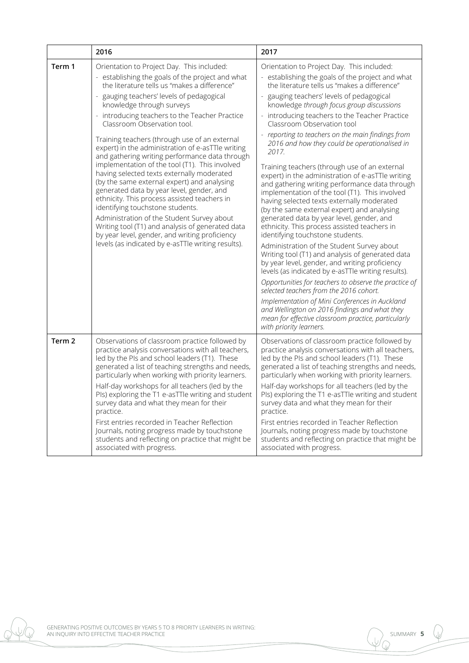|                   | 2016                                                                                                                                                                                                                                                                                                                                                                                                                                                                                   | 2017                                                                                                                                                                                                                                                                                                                                                                                                                                                                                                                                                                                                                                                                                                                                                                                                                                                                                                         |  |  |  |
|-------------------|----------------------------------------------------------------------------------------------------------------------------------------------------------------------------------------------------------------------------------------------------------------------------------------------------------------------------------------------------------------------------------------------------------------------------------------------------------------------------------------|--------------------------------------------------------------------------------------------------------------------------------------------------------------------------------------------------------------------------------------------------------------------------------------------------------------------------------------------------------------------------------------------------------------------------------------------------------------------------------------------------------------------------------------------------------------------------------------------------------------------------------------------------------------------------------------------------------------------------------------------------------------------------------------------------------------------------------------------------------------------------------------------------------------|--|--|--|
| Term 1            | Orientation to Project Day. This included:<br>- establishing the goals of the project and what<br>the literature tells us "makes a difference"<br>gauging teachers' levels of pedagogical<br>knowledge through surveys                                                                                                                                                                                                                                                                 | Orientation to Project Day. This included:<br>- establishing the goals of the project and what<br>the literature tells us "makes a difference"<br>gauging teachers' levels of pedagogical<br>knowledge through focus group discussions                                                                                                                                                                                                                                                                                                                                                                                                                                                                                                                                                                                                                                                                       |  |  |  |
|                   | - introducing teachers to the Teacher Practice<br>Classroom Observation tool.                                                                                                                                                                                                                                                                                                                                                                                                          | - introducing teachers to the Teacher Practice<br>Classroom Observation tool                                                                                                                                                                                                                                                                                                                                                                                                                                                                                                                                                                                                                                                                                                                                                                                                                                 |  |  |  |
|                   | Training teachers (through use of an external<br>expert) in the administration of e-asTTle writing<br>and gathering writing performance data through                                                                                                                                                                                                                                                                                                                                   | reporting to teachers on the main findings from<br>2016 and how they could be operationalised in<br>2017.                                                                                                                                                                                                                                                                                                                                                                                                                                                                                                                                                                                                                                                                                                                                                                                                    |  |  |  |
|                   | implementation of the tool (T1). This involved<br>having selected texts externally moderated<br>(by the same external expert) and analysing<br>generated data by year level, gender, and<br>ethnicity. This process assisted teachers in<br>identifying touchstone students.<br>Administration of the Student Survey about<br>Writing tool (T1) and analysis of generated data<br>by year level, gender, and writing proficiency<br>levels (as indicated by e-asTTle writing results). | Training teachers (through use of an external<br>expert) in the administration of e-asTTle writing<br>and gathering writing performance data through<br>implementation of the tool (T1). This involved<br>having selected texts externally moderated<br>(by the same external expert) and analysing<br>generated data by year level, gender, and<br>ethnicity. This process assisted teachers in<br>identifying touchstone students.<br>Administration of the Student Survey about<br>Writing tool (T1) and analysis of generated data<br>by year level, gender, and writing proficiency<br>levels (as indicated by e-asTTle writing results).<br>Opportunities for teachers to observe the practice of<br>selected teachers from the 2016 cohort.<br>Implementation of Mini Conferences in Auckland<br>and Wellington on 2016 findings and what they<br>mean for effective classroom practice, particularly |  |  |  |
| Term <sub>2</sub> | Observations of classroom practice followed by<br>practice analysis conversations with all teachers,<br>led by the PIs and school leaders (T1). These<br>generated a list of teaching strengths and needs,<br>particularly when working with priority learners.<br>Half-day workshops for all teachers (led by the<br>PIs) exploring the T1 e-asTTle writing and student<br>survey data and what they mean for their<br>practice.                                                      | with priority learners.<br>Observations of classroom practice followed by<br>practice analysis conversations with all teachers,<br>led by the PIs and school leaders (T1). These<br>generated a list of teaching strengths and needs,<br>particularly when working with priority learners.<br>Half-day workshops for all teachers (led by the<br>Pls) exploring the T1 e-asTTle writing and student<br>survey data and what they mean for their<br>practice.                                                                                                                                                                                                                                                                                                                                                                                                                                                 |  |  |  |
|                   | First entries recorded in Teacher Reflection<br>Journals, noting progress made by touchstone<br>students and reflecting on practice that might be<br>associated with progress.                                                                                                                                                                                                                                                                                                         | First entries recorded in Teacher Reflection<br>Journals, noting progress made by touchstone<br>students and reflecting on practice that might be<br>associated with progress.                                                                                                                                                                                                                                                                                                                                                                                                                                                                                                                                                                                                                                                                                                                               |  |  |  |

GENERATING POSITIVE OUTCOMES BY YEARS 5 TO 8 PRIORITY LEARNERS IN WRITING: AN INQUIRY INTO EFFECTIVE TEACHER PRACTICE

 $\mathbb{U}$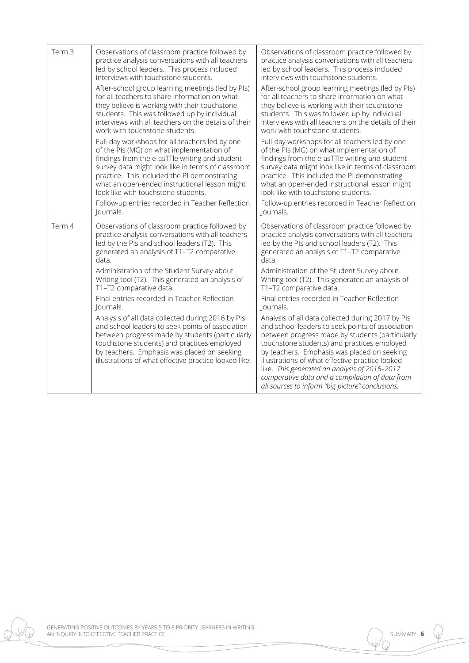| Term <sub>3</sub> | Observations of classroom practice followed by<br>practice analysis conversations with all teachers<br>led by school leaders. This process included<br>interviews with touchstone students.                                                                                                                                                | Observations of classroom practice followed by<br>practice analysis conversations with all teachers<br>led by school leaders. This process included<br>interviews with touchstone students.                                                                                                                                                                                                                   |  |  |
|-------------------|--------------------------------------------------------------------------------------------------------------------------------------------------------------------------------------------------------------------------------------------------------------------------------------------------------------------------------------------|---------------------------------------------------------------------------------------------------------------------------------------------------------------------------------------------------------------------------------------------------------------------------------------------------------------------------------------------------------------------------------------------------------------|--|--|
|                   | After-school group learning meetings (led by PIs)<br>for all teachers to share information on what<br>they believe is working with their touchstone<br>students. This was followed up by individual<br>interviews with all teachers on the details of their<br>work with touchstone students.                                              | After-school group learning meetings (led by PIs)<br>for all teachers to share information on what<br>they believe is working with their touchstone<br>students. This was followed up by individual<br>interviews with all teachers on the details of their<br>work with touchstone students.                                                                                                                 |  |  |
|                   | Full-day workshops for all teachers led by one<br>of the PIs (MG) on what implementation of<br>findings from the e-asTTle writing and student<br>survey data might look like in terms of classroom<br>practice. This included the PI demonstrating<br>what an open-ended instructional lesson might<br>look like with touchstone students. | Full-day workshops for all teachers led by one<br>of the PIs (MG) on what implementation of<br>findings from the e-asTTle writing and student<br>survey data might look like in terms of classroom<br>practice. This included the PI demonstrating<br>what an open-ended instructional lesson might<br>look like with touchstone students.                                                                    |  |  |
|                   | Follow-up entries recorded in Teacher Reflection<br>Journals.                                                                                                                                                                                                                                                                              | Follow-up entries recorded in Teacher Reflection<br>Journals.                                                                                                                                                                                                                                                                                                                                                 |  |  |
| Term 4            | Observations of classroom practice followed by<br>practice analysis conversations with all teachers<br>led by the PIs and school leaders (T2). This<br>generated an analysis of T1-T2 comparative<br>data.                                                                                                                                 | Observations of classroom practice followed by<br>practice analysis conversations with all teachers<br>led by the PIs and school leaders (T2). This<br>generated an analysis of T1-T2 comparative<br>data.                                                                                                                                                                                                    |  |  |
|                   | Administration of the Student Survey about<br>Writing tool (T2). This generated an analysis of<br>T1-T2 comparative data.                                                                                                                                                                                                                  | Administration of the Student Survey about<br>Writing tool (T2). This generated an analysis of<br>T1-T2 comparative data.                                                                                                                                                                                                                                                                                     |  |  |
|                   | Final entries recorded in Teacher Reflection<br>Journals.                                                                                                                                                                                                                                                                                  | Final entries recorded in Teacher Reflection<br>Journals.                                                                                                                                                                                                                                                                                                                                                     |  |  |
|                   | Analysis of all data collected during 2016 by PIs<br>and school leaders to seek points of association<br>between progress made by students (particularly<br>touchstone students) and practices employed<br>by teachers. Emphasis was placed on seeking<br>illustrations of what effective practice looked like.                            | Analysis of all data collected during 2017 by PIs<br>and school leaders to seek points of association<br>between progress made by students (particularly<br>touchstone students) and practices employed<br>by teachers. Emphasis was placed on seeking<br>illustrations of what effective practice looked<br>like. This generated an analysis of 2016-2017<br>comparative data and a compilation of data from |  |  |

GENERATING POSITIVE OUTCOMES BY YEARS 5 TO 8 PRIORITY LEARNERS IN WRITING: AN INQUIRY INTO EFFECTIVE TEACHER PRACTICE

 $\mathbb{U}$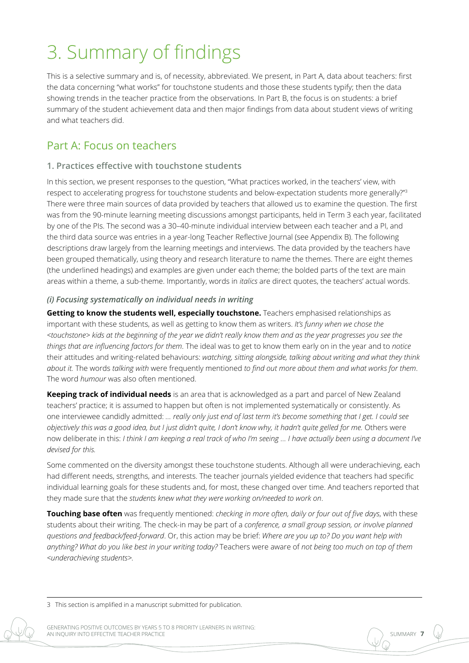## 3. Summary of findings

This is a selective summary and is, of necessity, abbreviated. We present, in Part A, data about teachers: first the data concerning "what works" for touchstone students and those these students typify; then the data showing trends in the teacher practice from the observations. In Part B, the focus is on students: a brief summary of the student achievement data and then major findings from data about student views of writing and what teachers did.

## Part A: Focus on teachers

#### **1. Practices effective with touchstone students**

In this section, we present responses to the question, "What practices worked, in the teachers' view, with respect to accelerating progress for touchstone students and below-expectation students more generally?"<sup>3</sup> There were three main sources of data provided by teachers that allowed us to examine the question. The first was from the 90-minute learning meeting discussions amongst participants, held in Term 3 each year, facilitated by one of the PIs. The second was a 30–40-minute individual interview between each teacher and a PI, and the third data source was entries in a year-long Teacher Reflective Journal (see Appendix B). The following descriptions draw largely from the learning meetings and interviews. The data provided by the teachers have been grouped thematically, using theory and research literature to name the themes. There are eight themes (the underlined headings) and examples are given under each theme; the bolded parts of the text are main areas within a theme, a sub-theme. Importantly, words in *italics* are direct quotes, the teachers' actual words.

#### *(i) Focusing systematically on individual needs in writing*

**Getting to know the students well, especially touchstone.** Teachers emphasised relationships as important with these students, as well as getting to know them as writers. *It's funny when we chose the <touchstone> kids at the beginning of the year we didn't really know them and as the year progresses you see the things that are influencing factors for them*. The ideal was to get to know them early on in the year and to *notice* their attitudes and writing-related behaviours: *watching, sitting alongside, talking about writing and what they think about it.* The words *talking with* were frequently mentioned *to find out more about them and what works for them*. The word *humour* was also often mentioned.

**Keeping track of individual needs** is an area that is acknowledged as a part and parcel of New Zealand teachers' practice; it is assumed to happen but often is not implemented systematically or consistently. As one interviewee candidly admitted: *… really only just end of last term it's become something that I get. I could see objectively this was a good idea, but I just didn't quite, I don't know why, it hadn't quite gelled for me.* Others were now deliberate in this: *I think I am keeping a real track of who I'm seeing … I have actually been using a document I've devised for this.*

Some commented on the diversity amongst these touchstone students. Although all were underachieving, each had different needs, strengths, and interests. The teacher journals yielded evidence that teachers had specific individual learning goals for these students and, for most, these changed over time. And teachers reported that they made sure that the *students knew what they were working on/needed to work on*.

**Touching base often** was frequently mentioned: *checking in more often, daily or four out of five days*, with these students about their writing. The check-in may be part of a *conference, a small group session, or involve planned questions and feedback/feed-forward*. Or, this action may be brief: *Where are you up to? Do you want help with anything? What do you like best in your writing today?* Teachers were aware of *not being too much on top of them <underachieving students>.* 

<sup>3</sup> This section is amplified in a manuscript submitted for publication.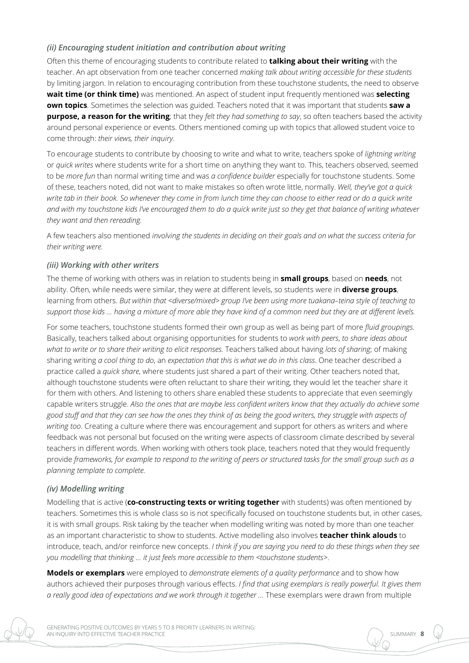#### *(ii) Encouraging student initiation and contribution about writing*

Often this theme of encouraging students to contribute related to **talking about their writing** with the teacher. An apt observation from one teacher concerned *making talk about writing accessible for these students* by limiting jargon. In relation to encouraging contribution from these touchstone students, the need to observe **wait time (or think time)** was mentioned. An aspect of student input frequently mentioned was **selecting own topics***.* Sometimes the selection was guided. Teachers noted that it was important that students **saw a purpose, a reason for the writing**; that they *felt they had something to say*, so often teachers based the activity around personal experience or events. Others mentioned coming up with topics that allowed student voice to come through: *their views, their inquiry*.

To encourage students to contribute by choosing to write and what to write, teachers spoke of *lightning writing* or *quick writes* where students write for a short time on anything they want to. This, teachers observed, seemed to be *more fun* than normal writing time and was *a confidence builder* especially for touchstone students. Some of these, teachers noted, did not want to make mistakes so often wrote little, normally. *Well, they've got a quick*  write tab in their book. So whenever they come in from lunch time they can choose to either read or do a quick write *and with my touchstone kids I've encouraged them to do a quick write just so they get that balance of writing whatever they want and then rereading.*

A few teachers also mentioned *involving the students in deciding on their goals and on what the success criteria for their writing were*.

#### *(iii) Working with other writers*

The theme of working with others was in relation to students being in **small groups**, based on **needs**, not ability. Often, while needs were similar, they were at different levels, so students were in **diverse groups**, learning from others. *But within that <diverse/mixed> group I've been using more tuakana–teina style of teaching to support those kids … having a mixture of more able they have kind of a common need but they are at different levels.*

For some teachers, touchstone students formed their own group as well as being part of more *fluid groupings*. Basically, teachers talked about organising opportunities for students to *work with peers*, *to share ideas about what to write or to share their writing to elicit responses.* Teachers talked about having *lots of sharing*; of making sharing writing *a cool thing to do*, an *expectation that this is what we do in this class*. One teacher described a practice called a *quick share*, where students just shared a part of their writing. Other teachers noted that, although touchstone students were often reluctant to share their writing, they would let the teacher share it for them with others. And listening to others share enabled these students to appreciate that even seemingly capable writers struggle. *Also the ones that are maybe less confident writers know that they actually do achieve some good stuff and that they can see how the ones they think of as being the good writers, they struggle with aspects of writing too*. Creating a culture where there was encouragement and support for others as writers and where feedback was not personal but focused on the writing were aspects of classroom climate described by several teachers in different words. When working with others took place, teachers noted that they would frequently provide *frameworks, for example to respond to the writing of peers or structured tasks for the small group such as a planning template to complete.* 

#### *(iv) Modelling writing*

Modelling that is active (**co-constructing texts or writing together** with students) was often mentioned by teachers. Sometimes this is whole class so is not specifically focused on touchstone students but, in other cases, it is with small groups. Risk taking by the teacher when modelling writing was noted by more than one teacher as an important characteristic to show to students. Active modelling also involves **teacher think alouds** to introduce, teach, and/or reinforce new concepts. *I think if you are saying you need to do these things when they see you modelling that thinking … it just feels more accessible to them <touchstone students>*.

**Models or exemplars** were employed to *demonstrate elements of a quality performance* and to show how authors achieved their purposes through various effects. *I find that using exemplars is really powerful. It gives them a really good idea of expectations and we work through it together …* These exemplars were drawn from multiple

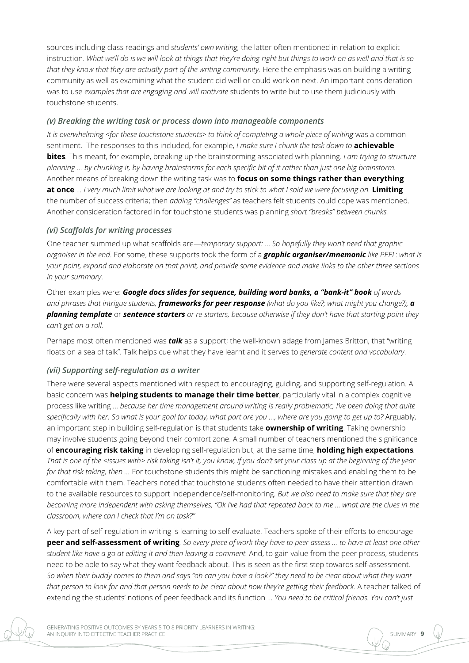sources including class readings and *students' own writing,* the latter often mentioned in relation to explicit instruction. *What we'll do is we will look at things that they're doing right but things to work on as well and that is so that they know that they are actually part of the writing community.* Here the emphasis was on building a writing community as well as examining what the student did well or could work on next. An important consideration was to use *examples that are engaging and will motivate* students to write but to use them judiciously with touchstone students.

#### *(v) Breaking the writing task or process down into manageable components*

*It is overwhelming <for these touchstone students> to think of completing a whole piece of writing was a common* sentiment. The responses to this included, for example, *I make sure I chunk the task down to* **achievable bites***.* This meant, for example, breaking up the brainstorming associated with planning*. I am trying to structure planning … by chunking it, by having brainstorms for each specific bit of it rather than just one big brainstorm.* Another means of breaking down the writing task was to **focus on some things rather than everything at once** … *I very much limit what we are looking at and try to stick to what I said we were focusing on.* **Limiting** the number of success criteria; then *adding "challenges"* as teachers felt students could cope was mentioned. Another consideration factored in for touchstone students was planning *short "breaks" between chunks.*

#### *(vi) Scaffolds for writing processes*

One teacher summed up what scaffolds are—*temporary support:* … *So hopefully they won't need that graphic organiser in the end*. For some, these supports took the form of a *graphic organiser/mnemonic like PEEL: what is your point, expand and elaborate on that point, and provide some evidence and make links to the other three sections in your summary*.

Other examples were: *Google docs slides for sequence, building word banks, a "bank-it" book of words and phrases that intrigue students, frameworks for peer response (what do you like?; what might you change?), a planning template* or *sentence starters or re-starters, because otherwise if they don't have that starting point they can't get on a roll.*

Perhaps most often mentioned was *talk* as a support; the well-known adage from James Britton, that "writing floats on a sea of talk". Talk helps cue what they have learnt and it serves to *generate content and vocabulary*.

#### *(vii) Supporting self-regulation as a writer*

There were several aspects mentioned with respect to encouraging, guiding, and supporting self-regulation. A basic concern was **helping students to manage their time better**, particularly vital in a complex cognitive process like writing … *because her time management around writing is really problematic, I've been doing that quite*  specifically with her. So what is your goal for today, what part are you ..., where are you going to get up to? Arguably, an important step in building self-regulation is that students take **ownership of writing**. Taking ownership may involve students going beyond their comfort zone. A small number of teachers mentioned the significance of **encouraging risk taking** in developing self-regulation but, at the same time, **holding high expectations***. That is one of the <issues with> risk taking isn't it, you know, if you don't set your class up at the beginning of the year for that risk taking, then …* For touchstone students this might be sanctioning mistakes and enabling them to be comfortable with them. Teachers noted that touchstone students often needed to have their attention drawn to the available resources to support independence/self-monitoring*. But we also need to make sure that they are becoming more independent with asking themselves, "Ok I've had that repeated back to me … what are the clues in the classroom, where can I check that I'm on task?"*

A key part of self-regulation in writing is learning to self-evaluate. Teachers spoke of their efforts to encourage **peer and self-assessment of writing***. So every piece of work they have to peer assess … to have at least one other student like have a go at editing it and then leaving a comment.* And, to gain value from the peer process, students need to be able to say what they want feedback about. This is seen as the first step towards self-assessment. *So when their buddy comes to them and says "oh can you have a look?" they need to be clear about what they want that person to look for and that person needs to be clear about how they're getting their feedback*. A teacher talked of extending the students' notions of peer feedback and its function ... *You need to be critical friends. You can't just* 

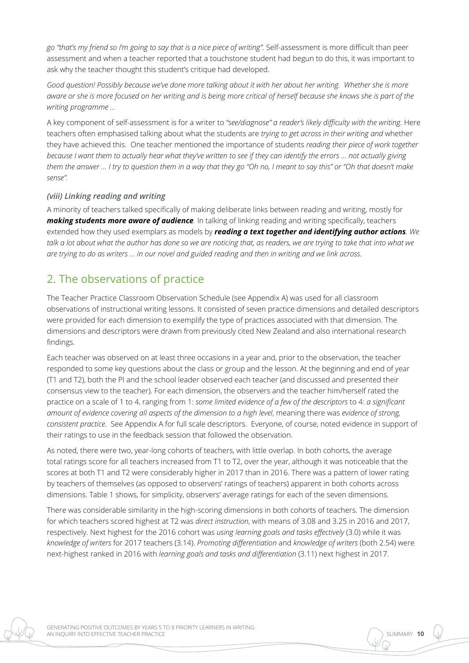*go "that's my friend so I'm going to say that is a nice piece of writing"*. Self-assessment is more difficult than peer assessment and when a teacher reported that a touchstone student had begun to do this, it was important to ask why the teacher thought this student's critique had developed.

*Good question! Possibly because we've done more talking about it with her about her writing. Whether she is more aware or she is more focused on her writing and is being more critical of herself because she knows she is part of the writing programme …* 

A key component of self-assessment is for a writer to *"see/diagnose" a reader's likely difficulty with the writing.* Here teachers often emphasised talking about what the students are *trying to get across in their writing and* whether they have achieved this. One teacher mentioned the importance of students *reading their piece of work together because I want them to actually hear what they've written to see if they can identify the errors … not actually giving them the answer … I try to question them in a way that they go "Oh no, I meant to say this" or "Oh that doesn't make sense".* 

#### *(viii) Linking reading and writing*

A minority of teachers talked specifically of making deliberate links between reading and writing, mostly for *making students more aware of audience.* In talking of linking reading and writing specifically, teachers extended how they used exemplars as models by *reading a text together and identifying author actions. We*  talk a lot about what the author has done so we are noticing that, as readers, we are trying to take that into what we *are trying to do as writers … in our novel and guided reading and then in writing and we link across.* 

### 2. The observations of practice

The Teacher Practice Classroom Observation Schedule (see Appendix A) was used for all classroom observations of instructional writing lessons. It consisted of seven practice dimensions and detailed descriptors were provided for each dimension to exemplify the type of practices associated with that dimension. The dimensions and descriptors were drawn from previously cited New Zealand and also international research findings.

Each teacher was observed on at least three occasions in a year and, prior to the observation, the teacher responded to some key questions about the class or group and the lesson. At the beginning and end of year (T1 and T2), both the PI and the school leader observed each teacher (and discussed and presented their consensus view to the teacher). For each dimension, the observers and the teacher him/herself rated the practice on a scale of 1 to 4, ranging from 1: *some limited evidence of a few of the descriptors* to 4: *a significant amount of evidence covering all aspects of the dimension to a high level*, meaning there was *evidence of strong, consistent practice*. See Appendix A for full scale descriptors. Everyone, of course, noted evidence in support of their ratings to use in the feedback session that followed the observation.

As noted, there were two, year-long cohorts of teachers, with little overlap. In both cohorts, the average total ratings score for all teachers increased from T1 to T2, over the year, although it was noticeable that the scores at both T1 and T2 were considerably higher in 2017 than in 2016. There was a pattern of lower rating by teachers of themselves (as opposed to observers' ratings of teachers) apparent in both cohorts across dimensions. Table 1 shows, for simplicity, observers' average ratings for each of the seven dimensions.

There was considerable similarity in the high-scoring dimensions in both cohorts of teachers. The dimension for which teachers scored highest at T2 was *direct instruction*, with means of 3.08 and 3.25 in 2016 and 2017, respectively. Next highest for the 2016 cohort was *using learning goals and tasks effectively* (3.0) while it was *knowledge of writers* for 2017 teachers (3.14). *Promoting differentiation* and *knowledge of writers* (both 2.54) were next-highest ranked in 2016 with *learning goals and tasks and differentiation* (3.11) next highest in 2017.

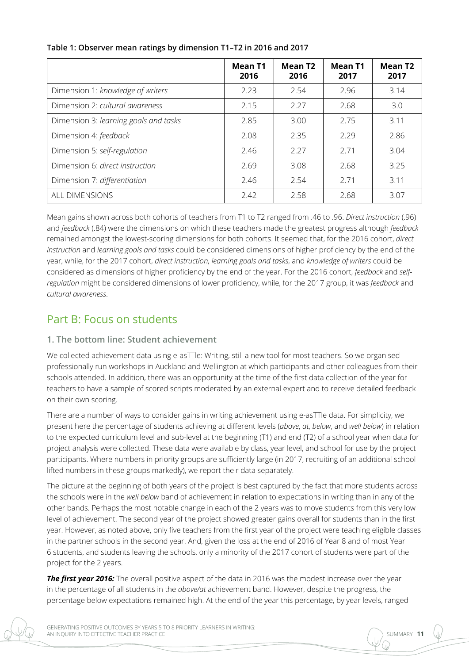|                                       | <b>Mean T1</b><br>2016 | <b>Mean T2</b><br>2016 | <b>Mean T1</b><br>2017 | <b>Mean T2</b><br>2017 |
|---------------------------------------|------------------------|------------------------|------------------------|------------------------|
| Dimension 1: knowledge of writers     | 2.23                   | 2.54                   | 2.96                   | 3.14                   |
| Dimension 2: cultural awareness       | 2.15                   | 2.27                   | 2.68                   | 3.0                    |
| Dimension 3: learning goals and tasks | 2.85                   | 3.00                   | 2.75                   | 3.11                   |
| Dimension 4: feedback                 | 2.08                   | 2.35                   | 2.29                   | 2.86                   |
| Dimension 5: self-regulation          | 2.46                   | 2.27                   | 2.71                   | 3.04                   |
| Dimension 6: direct instruction       | 2.69                   | 3.08                   | 2.68                   | 3.25                   |
| Dimension 7: differentiation          | 2.46                   | 2.54                   | 2.71                   | 3.11                   |
| ALL DIMENSIONS                        | 2.42                   | 2.58                   | 2.68                   | 3.07                   |

#### **Table 1: Observer mean ratings by dimension T1–T2 in 2016 and 2017**

Mean gains shown across both cohorts of teachers from T1 to T2 ranged from .46 to .96. *Direct instruction* (.96) and *feedback* (.84) were the dimensions on which these teachers made the greatest progress although *feedback* remained amongst the lowest-scoring dimensions for both cohorts. It seemed that, for the 2016 cohort, *direct instruction* and *learning goals and tasks* could be considered dimensions of higher proficiency by the end of the year, while, for the 2017 cohort, *direct instruction*, *learning goals and tasks*, and *knowledge of writers* could be considered as dimensions of higher proficiency by the end of the year. For the 2016 cohort, *feedback* and *selfregulation* might be considered dimensions of lower proficiency, while, for the 2017 group, it was *feedback* and *cultural awareness*.

## Part B: Focus on students

#### **1. The bottom line: Student achievement**

We collected achievement data using e-asTTle: Writing, still a new tool for most teachers. So we organised professionally run workshops in Auckland and Wellington at which participants and other colleagues from their schools attended. In addition, there was an opportunity at the time of the first data collection of the year for teachers to have a sample of scored scripts moderated by an external expert and to receive detailed feedback on their own scoring.

There are a number of ways to consider gains in writing achievement using e-asTTle data. For simplicity, we present here the percentage of students achieving at different levels (*above*, *at*, *below*, and *well below*) in relation to the expected curriculum level and sub-level at the beginning (T1) and end (T2) of a school year when data for project analysis were collected. These data were available by class, year level, and school for use by the project participants. Where numbers in priority groups are sufficiently large (in 2017, recruiting of an additional school lifted numbers in these groups markedly), we report their data separately.

The picture at the beginning of both years of the project is best captured by the fact that more students across the schools were in the *well below* band of achievement in relation to expectations in writing than in any of the other bands. Perhaps the most notable change in each of the 2 years was to move students from this very low level of achievement. The second year of the project showed greater gains overall for students than in the first year. However, as noted above, only five teachers from the first year of the project were teaching eligible classes in the partner schools in the second year. And, given the loss at the end of 2016 of Year 8 and of most Year 6 students, and students leaving the schools, only a minority of the 2017 cohort of students were part of the project for the 2 years.

**The first year 2016:** The overall positive aspect of the data in 2016 was the modest increase over the year in the percentage of all students in the *above/at* achievement band. However, despite the progress, the percentage below expectations remained high. At the end of the year this percentage, by year levels, ranged

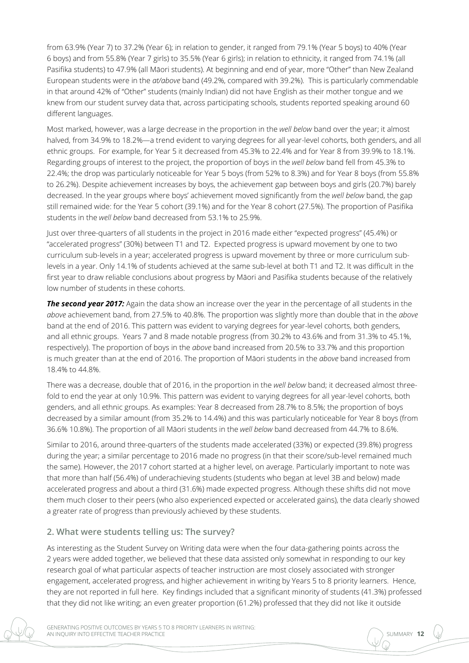from 63.9% (Year 7) to 37.2% (Year 6); in relation to gender, it ranged from 79.1% (Year 5 boys) to 40% (Year 6 boys) and from 55.8% (Year 7 girls) to 35.5% (Year 6 girls); in relation to ethnicity, it ranged from 74.1% (all Pasifika students) to 47.9% (all Māori students). At beginning and end of year, more "Other" than New Zealand European students were in the *at/above* band (49.2%, compared with 39.2%). This is particularly commendable in that around 42% of "Other" students (mainly Indian) did not have English as their mother tongue and we knew from our student survey data that, across participating schools, students reported speaking around 60 different languages.

Most marked, however, was a large decrease in the proportion in the *well below* band over the year; it almost halved, from 34.9% to 18.2%—a trend evident to varying degrees for all year-level cohorts, both genders, and all ethnic groups. For example, for Year 5 it decreased from 45.3% to 22.4% and for Year 8 from 39.9% to 18.1%. Regarding groups of interest to the project, the proportion of boys in the *well below* band fell from 45.3% to 22.4%; the drop was particularly noticeable for Year 5 boys (from 52% to 8.3%) and for Year 8 boys (from 55.8% to 26.2%). Despite achievement increases by boys, the achievement gap between boys and girls (20.7%) barely decreased. In the year groups where boys' achievement moved significantly from the *well below* band, the gap still remained wide: for the Year 5 cohort (39.1%) and for the Year 8 cohort (27.5%). The proportion of Pasifika students in the *well below* band decreased from 53.1% to 25.9%.

Just over three-quarters of all students in the project in 2016 made either "expected progress" (45.4%) or "accelerated progress" (30%) between T1 and T2. Expected progress is upward movement by one to two curriculum sub-levels in a year; accelerated progress is upward movement by three or more curriculum sublevels in a year. Only 14.1% of students achieved at the same sub-level at both T1 and T2. It was difficult in the first year to draw reliable conclusions about progress by Māori and Pasifika students because of the relatively low number of students in these cohorts.

**The second year 2017:** Again the data show an increase over the year in the percentage of all students in the *above* achievement band, from 27.5% to 40.8%. The proportion was slightly more than double that in the *above* band at the end of 2016. This pattern was evident to varying degrees for year-level cohorts, both genders, and all ethnic groups. Years 7 and 8 made notable progress (from 30.2% to 43.6% and from 31.3% to 45.1%, respectively). The proportion of boys in the *above* band increased from 20.5% to 33.7% and this proportion is much greater than at the end of 2016. The proportion of Māori students in the *above* band increased from 18.4% to 44.8%.

There was a decrease, double that of 2016, in the proportion in the *well below* band; it decreased almost threefold to end the year at only 10.9%. This pattern was evident to varying degrees for all year-level cohorts, both genders, and all ethnic groups. As examples: Year 8 decreased from 28.7% to 8.5%; the proportion of boys decreased by a similar amount (from 35.2% to 14.4%) and this was particularly noticeable for Year 8 boys (from 36.6% 10.8%). The proportion of all Māori students in the *well below* band decreased from 44.7% to 8.6%.

Similar to 2016, around three-quarters of the students made accelerated (33%) or expected (39.8%) progress during the year; a similar percentage to 2016 made no progress (in that their score/sub-level remained much the same). However, the 2017 cohort started at a higher level, on average. Particularly important to note was that more than half (56.4%) of underachieving students (students who began at level 3B and below) made accelerated progress and about a third (31.6%) made expected progress. Although these shifts did not move them much closer to their peers (who also experienced expected or accelerated gains), the data clearly showed a greater rate of progress than previously achieved by these students.

#### **2. What were students telling us: The survey?**

As interesting as the Student Survey on Writing data were when the four data-gathering points across the 2 years were added together, we believed that these data assisted only somewhat in responding to our key research goal of what particular aspects of teacher instruction are most closely associated with stronger engagement, accelerated progress, and higher achievement in writing by Years 5 to 8 priority learners. Hence, they are not reported in full here. Key findings included that a significant minority of students (41.3%) professed that they did not like writing; an even greater proportion (61.2%) professed that they did not like it outside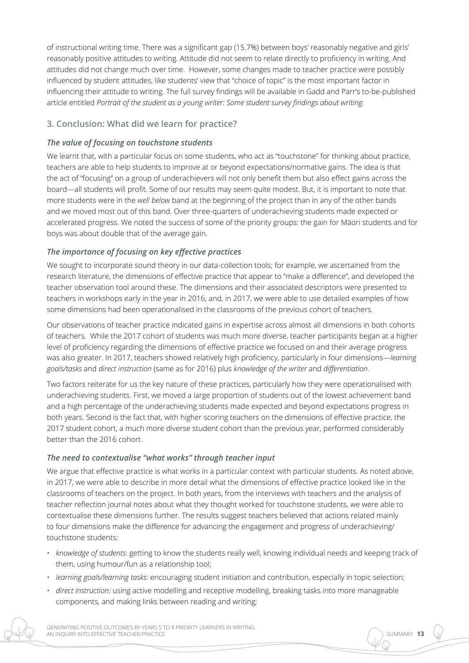of instructional writing time. There was a significant gap (15.7%) between boys' reasonably negative and girls' reasonably positive attitudes to writing. Attitude did not seem to relate directly to proficiency in writing. And attitudes did not change much over time. However, some changes made to teacher practice were possibly influenced by student attitudes, like students' view that "choice of topic" is the most important factor in influencing their attitude to writing. The full survey findings will be available in Gadd and Parr's to-be-published article entitled *Portrait of the student as a young writer: Some student survey findings about writing*.

#### **3. Conclusion: What did we learn for practice?**

#### *The value of focusing on touchstone students*

We learnt that, with a particular focus on some students, who act as "touchstone" for thinking about practice, teachers are able to help students to improve at or beyond expectations/normative gains. The idea is that the act of "focusing" on a group of underachievers will not only benefit them but also effect gains across the board—all students will profit. Some of our results may seem quite modest. But, it is important to note that more students were in the *well below* band at the beginning of the project than in any of the other bands and we moved most out of this band. Over three-quarters of underachieving students made expected or accelerated progress. We noted the success of some of the priority groups: the gain for Māori students and for boys was about double that of the average gain.

#### *The importance of focusing on key effective practices*

We sought to incorporate sound theory in our data-collection tools; for example, we ascertained from the research literature, the dimensions of effective practice that appear to "make a difference", and developed the teacher observation tool around these. The dimensions and their associated descriptors were presented to teachers in workshops early in the year in 2016; and, in 2017, we were able to use detailed examples of how some dimensions had been operationalised in the classrooms of the previous cohort of teachers.

Our observations of teacher practice indicated gains in expertise across almost all dimensions in both cohorts of teachers. While the 2017 cohort of students was much more diverse, teacher participants began at a higher level of proficiency regarding the dimensions of effective practice we focused on and their average progress was also greater. In 2017, teachers showed relatively high proficiency, particularly in four dimensions—*learning goals/tasks* and *direct instruction* (same as for 2016) plus *knowledge of the writer* and *differentiation*.

Two factors reiterate for us the key nature of these practices, particularly how they were operationalised with underachieving students. First, we moved a large proportion of students out of the lowest achievement band and a high percentage of the underachieving students made expected and beyond expectations progress in both years. Second is the fact that, with higher scoring teachers on the dimensions of effective practice, the 2017 student cohort, a much more diverse student cohort than the previous year, performed considerably better than the 2016 cohort.

#### *The need to contextualise "what works" through teacher input*

We argue that effective practice is what works in a particular context with particular students. As noted above, in 2017, we were able to describe in more detail what the dimensions of effective practice looked like in the classrooms of teachers on the project. In both years, from the interviews with teachers and the analysis of teacher reflection journal notes about what they thought worked for touchstone students, we were able to contextualise these dimensions further. The results suggest teachers believed that actions related mainly to four dimensions make the difference for advancing the engagement and progress of underachieving/ touchstone students:

- *knowledge of students*: getting to know the students really well, knowing individual needs and keeping track of them, using humour/fun as a relationship tool;
- *learning goals/learning tasks*: encouraging student initiation and contribution, especially in topic selection;
- *direct instruction*: using active modelling and receptive modelling, breaking tasks into more manageable components, and making links between reading and writing;

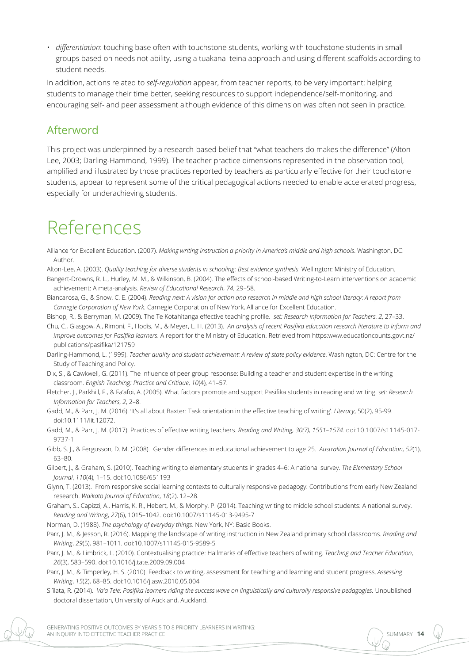• *differentiation*: touching base often with touchstone students, working with touchstone students in small groups based on needs not ability, using a tuakana–teina approach and using different scaffolds according to student needs.

In addition, actions related to *self-regulation* appear, from teacher reports, to be very important: helping students to manage their time better, seeking resources to support independence/self-monitoring, and encouraging self- and peer assessment although evidence of this dimension was often not seen in practice.

## Afterword

This project was underpinned by a research-based belief that "what teachers do makes the difference" (Alton-Lee, 2003; Darling-Hammond, 1999). The teacher practice dimensions represented in the observation tool, amplified and illustrated by those practices reported by teachers as particularly effective for their touchstone students, appear to represent some of the critical pedagogical actions needed to enable accelerated progress, especially for underachieving students.

## References

- Alliance for Excellent Education. (2007). *Making writing instruction a priority in America's middle and high schools*. Washington, DC: Author.
- Alton-Lee, A. (2003). *Quality teaching for diverse students in schooling: Best evidence synthesis*. Wellington: Ministry of Education.
- Bangert-Drowns, R. L., Hurley, M. M., & Wilkinson, B. (2004). The effects of school-based Writing-to-Learn interventions on academic achievement: A meta-analysis. *Review of Educational Research*, *74*, 29–58.
- Biancarosa, G., & Snow, C. E. (2004). *Reading next: A vision for action and research in middle and high school literacy: A report from Carnegie Corporation of New York.* Carnegie Corporation of New York, Alliance for Excellent Education.

Bishop, R., & Berryman, M. (2009). The Te Kotahitanga effective teaching profile. *set: Research Information for Teachers*, *2*, 27–33.

- Chu, C., Glasgow, A., Rimoni, F., Hodis, M., & Meyer, L. H. (2013). *An analysis of recent Pasifika education research literature to inform and improve outcomes for Pasifika learners*. A report for the Ministry of Education. Retrieved from https:www.educationcounts.govt.nz/ publications/pasifika/121759
- Darling-Hammond, L. (1999). *Teacher quality and student achievement: A review of state policy evidence*. Washington, DC: Centre for the Study of Teaching and Policy.
- Dix, S., & Cawkwell, G. (2011). The influence of peer group response: Building a teacher and student expertise in the writing classroom. *English Teaching: Practice and Critique*, *10*(4), 41–57.
- Fletcher, J., Parkhill, F., & Fa'afoi, A. (2005). What factors promote and support Pasifika students in reading and writing. *set: Research Information for Teachers*, *2*, 2–8.

Gadd, M., & Parr, J. M. (2016). 'It's all about Baxter: Task orientation in the effective teaching of writing'. *Literacy*, 50(2), 95-99. doi:10.1111/lit.12072.

- Gadd, M., & Parr, J. M. (2017). Practices of effective writing teachers. *Reading and Writing, 30(7), 1551–1574.* doi:10.1007/s11145-017- 9737-1
- Gibb, S. J., & Fergusson, D. M. (2008). Gender differences in educational achievement to age 25. *Australian Journal of Education*, *52*(1), 63–80.
- Gilbert, J., & Graham, S. (2010). Teaching writing to elementary students in grades 4–6: A national survey. *The Elementary School Journal*, *110*(4), 1–15. doi:10.1086/651193
- Glynn, T. (2013). From responsive social learning contexts to culturally responsive pedagogy: Contributions from early New Zealand research. *Waikato Journal of Education*, *18*(2), 12–28.
- Graham, S., Capizzi, A., Harris, K. R., Hebert, M., & Morphy, P. (2014). Teaching writing to middle school students: A national survey. *Reading and Writing*, *27*(6), 1015–1042. doi[:10.1007/s11145-013-9495-7](http://dx.doi.org/10.1007/s11145-013-9495-7)
- Norman, D. (1988). *The psychology of everyday things*. New York, NY: Basic Books.
- Parr, J. M., & Jesson, R. (2016). Mapping the landscape of writing instruction in New Zealand primary school classrooms. *Reading and Writing*, *29*(5), 981–1011. doi:10.1007/s11145-015-9589-5
- Parr, J. M., & Limbrick, L. (2010). Contextualising practice: Hallmarks of effective teachers of writing. *Teaching and Teacher Education*, *26*(3), 583–590. doi:10.1016/j.tate.2009.09.004
- Parr, J. M., & Timperley, H. S. (2010). Feedback to writing, assessment for teaching and learning and student progress. *Assessing Writing*, *15*(2), 68–85. doi:10.1016/j.asw.2010.05.004
- Si'ilata, R. (2014). *Va'a Tele: Pasifika learners riding the success wave on linguistically and culturally responsive pedagogies.* Unpublished doctoral dissertation, University of Auckland, Auckland.